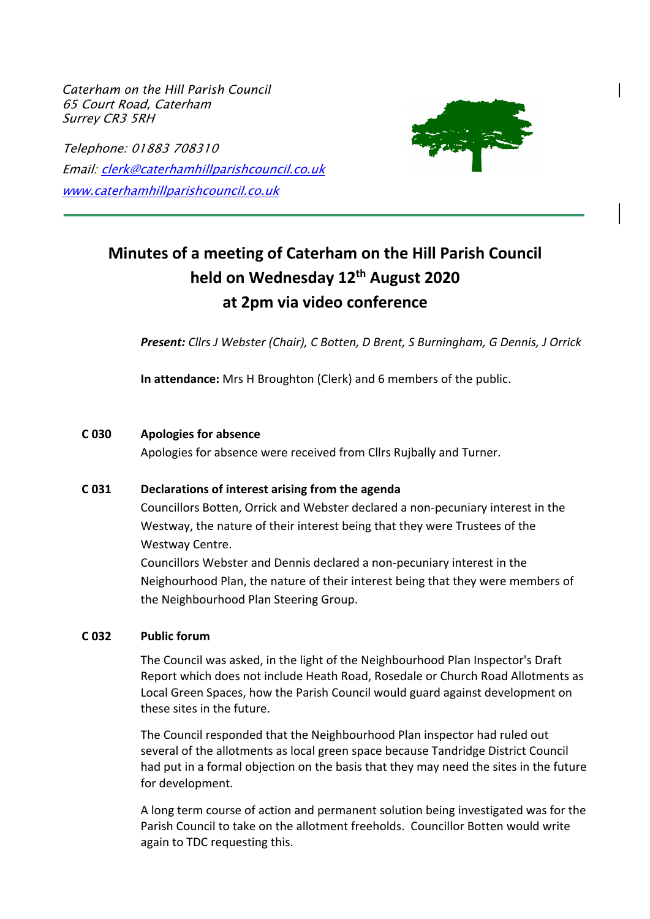*Caterham on the Hill Parish Council* 65 Court Road, Caterham Surrey CR3 5RH

Telephone: 01883 708310 Email: clerk@caterhamhillparishcouncil.co.uk www.caterhamhillparishcouncil.co.uk



# **Minutes of a meeting of Caterham on the Hill Parish Council held on Wednesday 12th August 2020 at 2pm via video conference**

*Present: Cllrs J Webster (Chair), C Botten, D Brent, S Burningham, G Dennis, J Orrick*

**In attendance:** Mrs H Broughton (Clerk) and 6 members of the public.

#### **C 030 Apologies for absence**

Apologies for absence were received from Cllrs Rujbally and Turner.

#### **C 031 Declarations of interest arising from the agenda**

Councillors Botten, Orrick and Webster declared a non-pecuniary interest in the Westway, the nature of their interest being that they were Trustees of the Westway Centre.

Councillors Webster and Dennis declared a non-pecuniary interest in the Neighourhood Plan, the nature of their interest being that they were members of the Neighbourhood Plan Steering Group.

#### **C 032 Public forum**

The Council was asked, in the light of the Neighbourhood Plan Inspector's Draft Report which does not include Heath Road, Rosedale or Church Road Allotments as Local Green Spaces, how the Parish Council would guard against development on these sites in the future.

The Council responded that the Neighbourhood Plan inspector had ruled out several of the allotments as local green space because Tandridge District Council had put in a formal objection on the basis that they may need the sites in the future for development.

A long term course of action and permanent solution being investigated was for the Parish Council to take on the allotment freeholds. Councillor Botten would write again to TDC requesting this.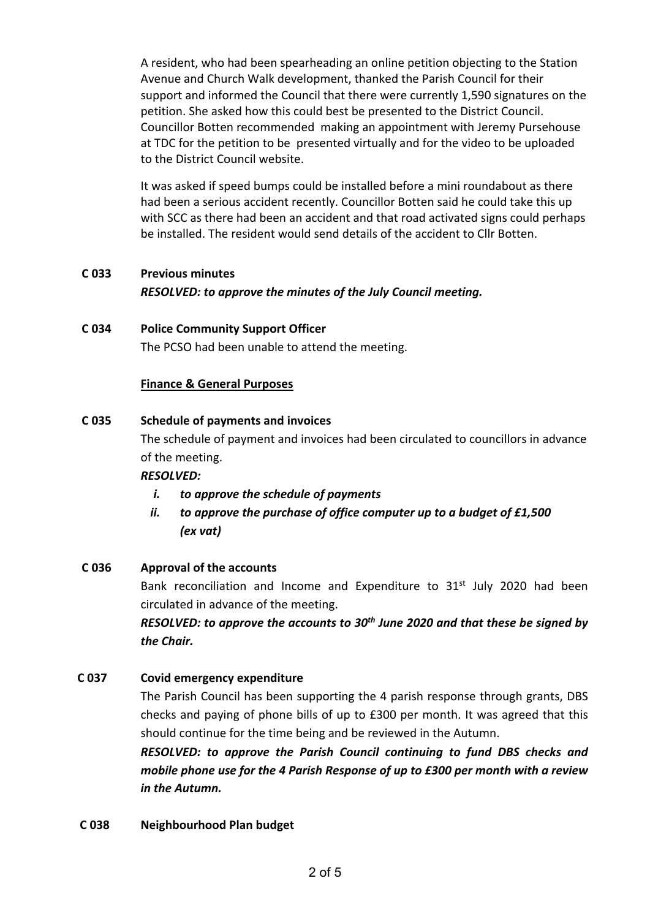A resident, who had been spearheading an online petition objecting to the Station Avenue and Church Walk development, thanked the Parish Council for their support and informed the Council that there were currently 1,590 signatures on the petition. She asked how this could best be presented to the District Council. Councillor Botten recommended making an appointment with Jeremy Pursehouse at TDC for the petition to be presented virtually and for the video to be uploaded to the District Council website.

It was asked if speed bumps could be installed before a mini roundabout as there had been a serious accident recently. Councillor Botten said he could take this up with SCC as there had been an accident and that road activated signs could perhaps be installed. The resident would send details of the accident to Cllr Botten.

# **C 033 Previous minutes** *RESOLVED: to approve the minutes of the July Council meeting.*

## **C 034 Police Community Support Officer** The PCSO had been unable to attend the meeting.

## **Finance & General Purposes**

## **C 035 Schedule of payments and invoices**

The schedule of payment and invoices had been circulated to councillors in advance of the meeting.

## *RESOLVED:*

- *i. to approve the schedule of payments*
- *ii. to approve the purchase of office computer up to a budget of £1,500 (ex vat)*

# **C 036 Approval of the accounts**

Bank reconciliation and Income and Expenditure to  $31<sup>st</sup>$  July 2020 had been circulated in advance of the meeting.

*RESOLVED: to approve the accounts to 30th June 2020 and that these be signed by the Chair.* 

## **C 037 Covid emergency expenditure**

The Parish Council has been supporting the 4 parish response through grants, DBS checks and paying of phone bills of up to £300 per month. It was agreed that this should continue for the time being and be reviewed in the Autumn.

*RESOLVED: to approve the Parish Council continuing to fund DBS checks and mobile phone use for the 4 Parish Response of up to £300 per month with a review in the Autumn.* 

## **C 038 Neighbourhood Plan budget**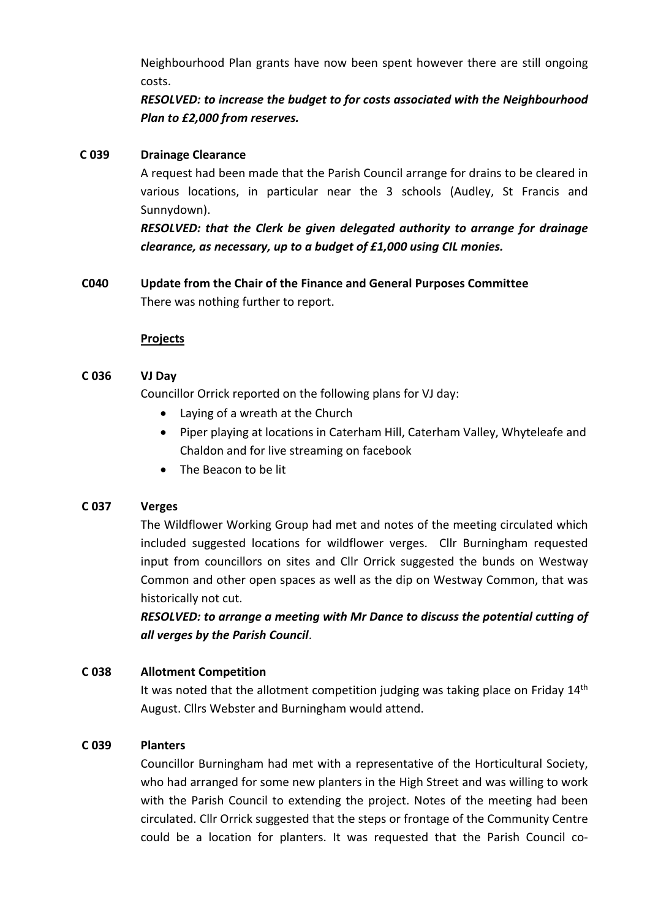Neighbourhood Plan grants have now been spent however there are still ongoing costs.

*RESOLVED: to increase the budget to for costs associated with the Neighbourhood Plan to £2,000 from reserves.*

#### **C 039 Drainage Clearance**

A request had been made that the Parish Council arrange for drains to be cleared in various locations, in particular near the 3 schools (Audley, St Francis and Sunnydown).

*RESOLVED: that the Clerk be given delegated authority to arrange for drainage clearance, as necessary, up to a budget of £1,000 using CIL monies.* 

# **C040 Update from the Chair of the Finance and General Purposes Committee** There was nothing further to report.

## **Projects**

## **C 036 VJ Day**

Councillor Orrick reported on the following plans for VJ day:

- Laying of a wreath at the Church
- Piper playing at locations in Caterham Hill, Caterham Valley, Whyteleafe and Chaldon and for live streaming on facebook
- The Beacon to be lit

## **C 037 Verges**

The Wildflower Working Group had met and notes of the meeting circulated which included suggested locations for wildflower verges. Cllr Burningham requested input from councillors on sites and Cllr Orrick suggested the bunds on Westway Common and other open spaces as well as the dip on Westway Common, that was historically not cut.

*RESOLVED: to arrange a meeting with Mr Dance to discuss the potential cutting of all verges by the Parish Council*.

## **C 038 Allotment Competition**

It was noted that the allotment competition judging was taking place on Friday  $14<sup>th</sup>$ August. Cllrs Webster and Burningham would attend.

## **C 039 Planters**

Councillor Burningham had met with a representative of the Horticultural Society, who had arranged for some new planters in the High Street and was willing to work with the Parish Council to extending the project. Notes of the meeting had been circulated. Cllr Orrick suggested that the steps or frontage of the Community Centre could be a location for planters. It was requested that the Parish Council co